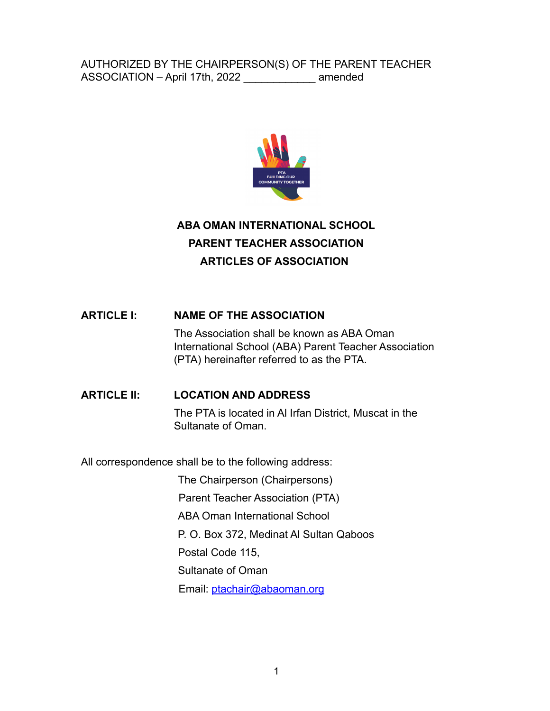

# **ABA OMAN INTERNATIONAL SCHOOL PARENT TEACHER ASSOCIATION ARTICLES OF ASSOCIATION**

### **ARTICLE I: NAME OF THE ASSOCIATION**

The Association shall be known as ABA Oman International School (ABA) Parent Teacher Association (PTA) hereinafter referred to as the PTA.

### **ARTICLE II: LOCATION AND ADDRESS**

The PTA is located in Al Irfan District, Muscat in the Sultanate of Oman.

All correspondence shall be to the following address:

The Chairperson (Chairpersons) Parent Teacher Association (PTA)

ABA Oman International School

P. O. Box 372, Medinat Al Sultan Qaboos

Postal Code 115,

Sultanate of Oman

Email: ptachair@abaoman.org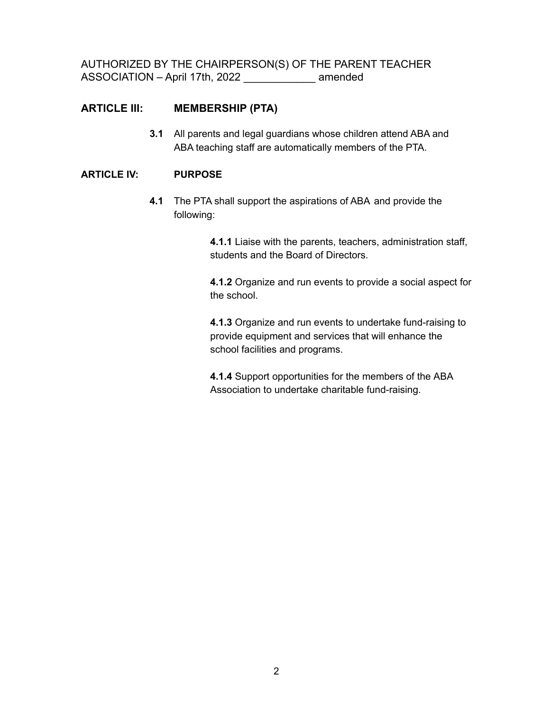### **ARTICLE III: MEMBERSHIP (PTA)**

**3.1** All parents and legal guardians whose children attend ABA and ABA teaching staff are automatically members of the PTA.

#### **ARTICLE IV: PURPOSE**

**4.1** The PTA shall support the aspirations of ABA and provide the following:

> **4.1.1** Liaise with the parents, teachers, administration staff, students and the Board of Directors.

**4.1.2** Organize and run events to provide a social aspect for the school.

**4.1.3** Organize and run events to undertake fund-raising to provide equipment and services that will enhance the school facilities and programs.

**4.1.4** Support opportunities for the members of the ABA Association to undertake charitable fund-raising.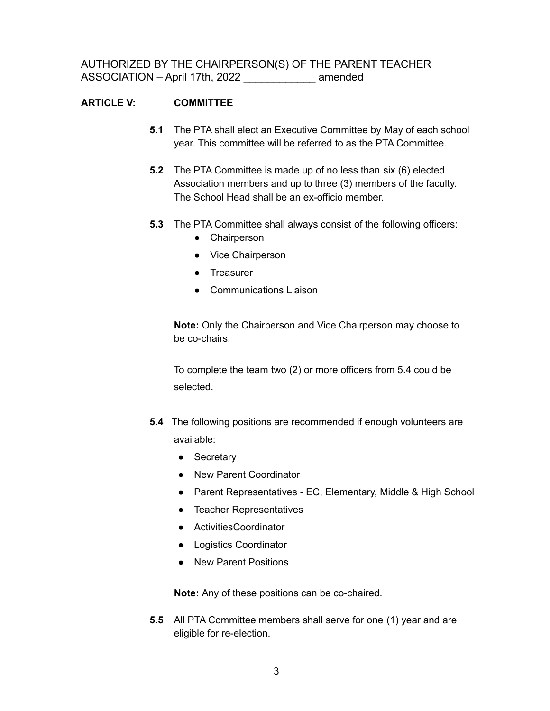### **ARTICLE V: COMMITTEE**

- **5.1** The PTA shall elect an Executive Committee by May of each school year. This committee will be referred to as the PTA Committee.
- **5.2** The PTA Committee is made up of no less than six (6) elected Association members and up to three (3) members of the faculty. The School Head shall be an ex-officio member.
- **5.3** The PTA Committee shall always consist of the following officers:
	- Chairperson
	- Vice Chairperson
	- Treasurer
	- Communications Liaison

**Note:** Only the Chairperson and Vice Chairperson may choose to be co-chairs.

To complete the team two (2) or more officers from 5.4 could be selected.

- **5.4** The following positions are recommended if enough volunteers are available:
	- Secretary
	- New Parent Coordinator
	- Parent Representatives EC, Elementary, Middle & High School
	- Teacher Representatives
	- ActivitiesCoordinator
	- Logistics Coordinator
	- New Parent Positions

**Note:** Any of these positions can be co-chaired.

**5.5** All PTA Committee members shall serve for one (1) year and are eligible for re-election.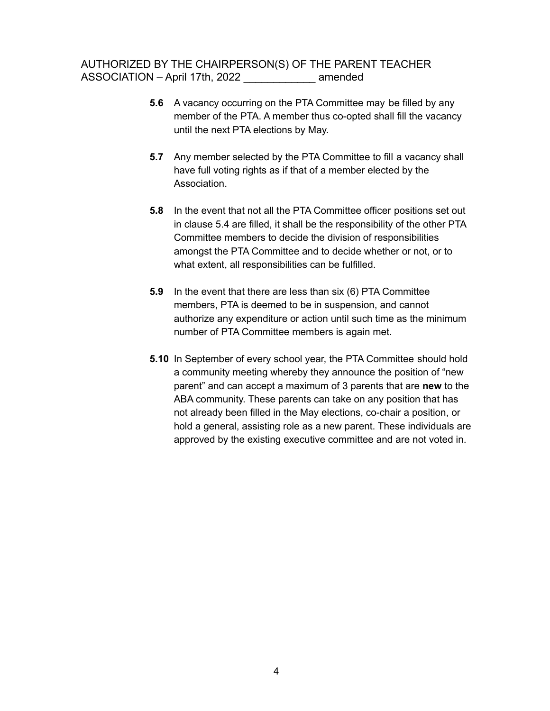- **5.6** A vacancy occurring on the PTA Committee may be filled by any member of the PTA. A member thus co-opted shall fill the vacancy until the next PTA elections by May.
- **5.7** Any member selected by the PTA Committee to fill a vacancy shall have full voting rights as if that of a member elected by the Association.
- **5.8** In the event that not all the PTA Committee officer positions set out in clause 5.4 are filled, it shall be the responsibility of the other PTA Committee members to decide the division of responsibilities amongst the PTA Committee and to decide whether or not, or to what extent, all responsibilities can be fulfilled.
- **5.9** In the event that there are less than six (6) PTA Committee members, PTA is deemed to be in suspension, and cannot authorize any expenditure or action until such time as the minimum number of PTA Committee members is again met.
- **5.10** In September of every school year, the PTA Committee should hold a community meeting whereby they announce the position of "new parent" and can accept a maximum of 3 parents that are **new** to the ABA community. These parents can take on any position that has not already been filled in the May elections, co-chair a position, or hold a general, assisting role as a new parent. These individuals are approved by the existing executive committee and are not voted in.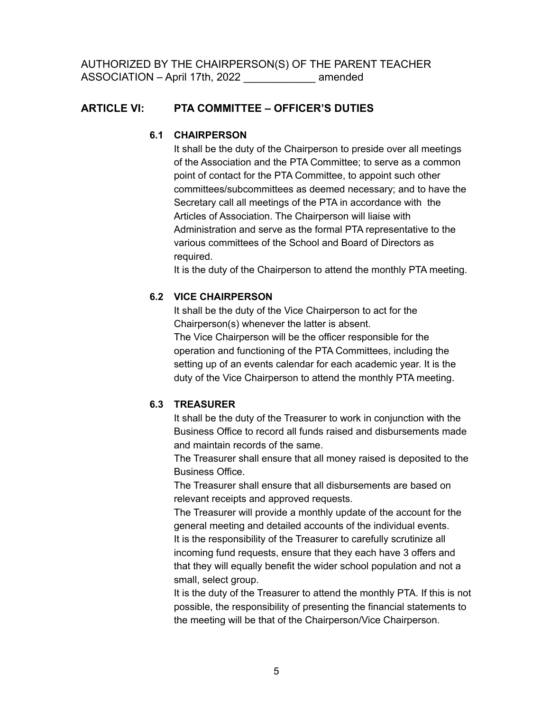### **ARTICLE VI: PTA COMMITTEE – OFFICER'S DUTIES**

#### **6.1 CHAIRPERSON**

It shall be the duty of the Chairperson to preside over all meetings of the Association and the PTA Committee; to serve as a common point of contact for the PTA Committee, to appoint such other committees/subcommittees as deemed necessary; and to have the Secretary call all meetings of the PTA in accordance with the Articles of Association. The Chairperson will liaise with Administration and serve as the formal PTA representative to the various committees of the School and Board of Directors as required.

It is the duty of the Chairperson to attend the monthly PTA meeting.

### **6.2 VICE CHAIRPERSON**

It shall be the duty of the Vice Chairperson to act for the Chairperson(s) whenever the latter is absent. The Vice Chairperson will be the officer responsible for the operation and functioning of the PTA Committees, including the setting up of an events calendar for each academic year. It is the duty of the Vice Chairperson to attend the monthly PTA meeting.

#### **6.3 TREASURER**

It shall be the duty of the Treasurer to work in conjunction with the Business Office to record all funds raised and disbursements made and maintain records of the same.

The Treasurer shall ensure that all money raised is deposited to the Business Office.

The Treasurer shall ensure that all disbursements are based on relevant receipts and approved requests.

The Treasurer will provide a monthly update of the account for the general meeting and detailed accounts of the individual events. It is the responsibility of the Treasurer to carefully scrutinize all incoming fund requests, ensure that they each have 3 offers and that they will equally benefit the wider school population and not a small, select group.

It is the duty of the Treasurer to attend the monthly PTA. If this is not possible, the responsibility of presenting the financial statements to the meeting will be that of the Chairperson/Vice Chairperson.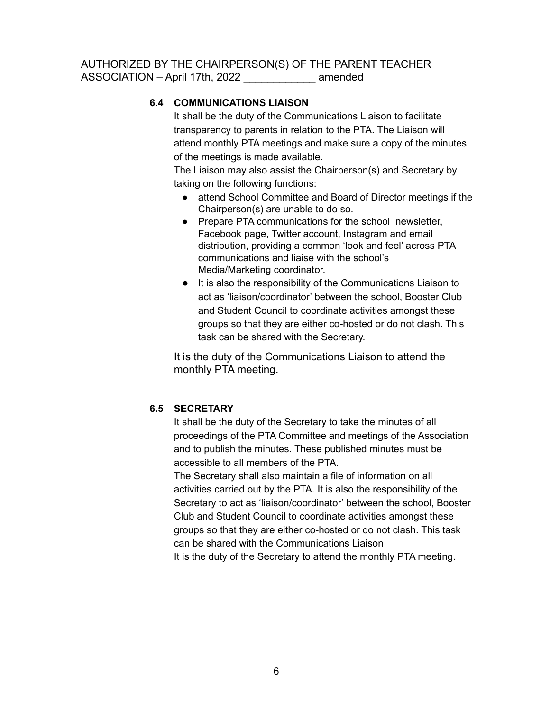### **6.4 COMMUNICATIONS LIAISON**

It shall be the duty of the Communications Liaison to facilitate transparency to parents in relation to the PTA. The Liaison will attend monthly PTA meetings and make sure a copy of the minutes of the meetings is made available.

The Liaison may also assist the Chairperson(s) and Secretary by taking on the following functions:

- attend School Committee and Board of Director meetings if the Chairperson(s) are unable to do so.
- Prepare PTA communications for the school newsletter, Facebook page, Twitter account, Instagram and email distribution, providing a common 'look and feel' across PTA communications and liaise with the school's Media/Marketing coordinator.
- It is also the responsibility of the Communications Liaison to act as 'liaison/coordinator' between the school, Booster Club and Student Council to coordinate activities amongst these groups so that they are either co-hosted or do not clash. This task can be shared with the Secretary.

It is the duty of the Communications Liaison to attend the monthly PTA meeting.

#### **6.5 SECRETARY**

It shall be the duty of the Secretary to take the minutes of all proceedings of the PTA Committee and meetings of the Association and to publish the minutes. These published minutes must be accessible to all members of the PTA.

The Secretary shall also maintain a file of information on all activities carried out by the PTA. It is also the responsibility of the Secretary to act as 'liaison/coordinator' between the school, Booster Club and Student Council to coordinate activities amongst these groups so that they are either co-hosted or do not clash. This task can be shared with the Communications Liaison It is the duty of the Secretary to attend the monthly PTA meeting.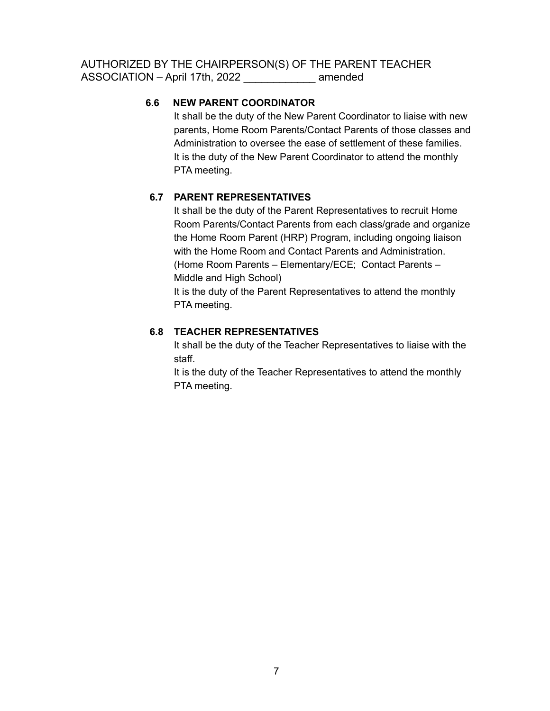### **6.6 NEW PARENT COORDINATOR**

It shall be the duty of the New Parent Coordinator to liaise with new parents, Home Room Parents/Contact Parents of those classes and Administration to oversee the ease of settlement of these families. It is the duty of the New Parent Coordinator to attend the monthly PTA meeting.

### **6.7 PARENT REPRESENTATIVES**

It shall be the duty of the Parent Representatives to recruit Home Room Parents/Contact Parents from each class/grade and organize the Home Room Parent (HRP) Program, including ongoing liaison with the Home Room and Contact Parents and Administration. (Home Room Parents – Elementary/ECE; Contact Parents – Middle and High School) It is the duty of the Parent Representatives to attend the monthly

PTA meeting.

### **6.8 TEACHER REPRESENTATIVES**

It shall be the duty of the Teacher Representatives to liaise with the staff.

It is the duty of the Teacher Representatives to attend the monthly PTA meeting.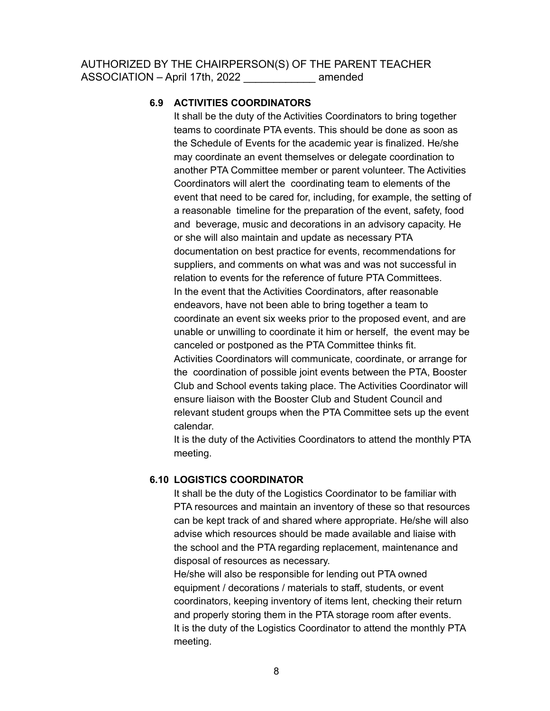#### **6.9 ACTIVITIES COORDINATORS**

It shall be the duty of the Activities Coordinators to bring together teams to coordinate PTA events. This should be done as soon as the Schedule of Events for the academic year is finalized. He/she may coordinate an event themselves or delegate coordination to another PTA Committee member or parent volunteer. The Activities Coordinators will alert the coordinating team to elements of the event that need to be cared for, including, for example, the setting of a reasonable timeline for the preparation of the event, safety, food and beverage, music and decorations in an advisory capacity. He or she will also maintain and update as necessary PTA documentation on best practice for events, recommendations for suppliers, and comments on what was and was not successful in relation to events for the reference of future PTA Committees. In the event that the Activities Coordinators, after reasonable endeavors, have not been able to bring together a team to coordinate an event six weeks prior to the proposed event, and are unable or unwilling to coordinate it him or herself, the event may be canceled or postponed as the PTA Committee thinks fit. Activities Coordinators will communicate, coordinate, or arrange for the coordination of possible joint events between the PTA, Booster Club and School events taking place. The Activities Coordinator will ensure liaison with the Booster Club and Student Council and relevant student groups when the PTA Committee sets up the event calendar.

It is the duty of the Activities Coordinators to attend the monthly PTA meeting.

#### **6.10 LOGISTICS COORDINATOR**

It shall be the duty of the Logistics Coordinator to be familiar with PTA resources and maintain an inventory of these so that resources can be kept track of and shared where appropriate. He/she will also advise which resources should be made available and liaise with the school and the PTA regarding replacement, maintenance and disposal of resources as necessary.

He/she will also be responsible for lending out PTA owned equipment / decorations / materials to staff, students, or event coordinators, keeping inventory of items lent, checking their return and properly storing them in the PTA storage room after events. It is the duty of the Logistics Coordinator to attend the monthly PTA meeting.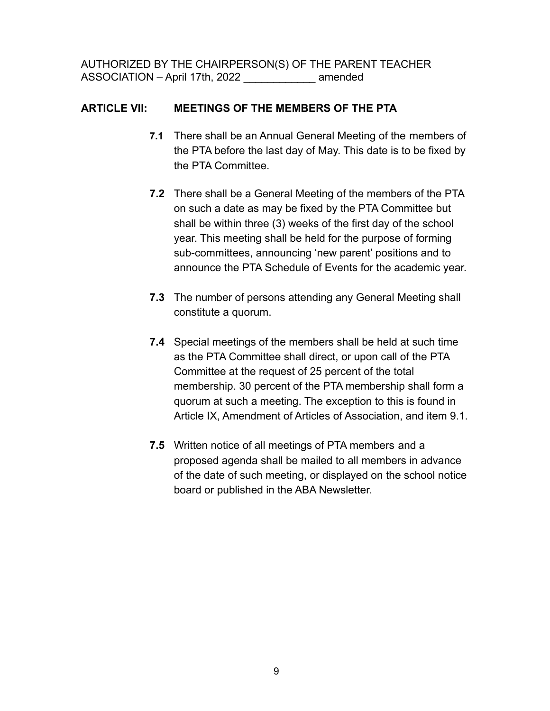### **ARTICLE VII: MEETINGS OF THE MEMBERS OF THE PTA**

- **7.1** There shall be an Annual General Meeting of the members of the PTA before the last day of May. This date is to be fixed by the PTA Committee.
- **7.2** There shall be a General Meeting of the members of the PTA on such a date as may be fixed by the PTA Committee but shall be within three (3) weeks of the first day of the school year. This meeting shall be held for the purpose of forming sub-committees, announcing 'new parent' positions and to announce the PTA Schedule of Events for the academic year.
- **7.3** The number of persons attending any General Meeting shall constitute a quorum.
- **7.4** Special meetings of the members shall be held at such time as the PTA Committee shall direct, or upon call of the PTA Committee at the request of 25 percent of the total membership. 30 percent of the PTA membership shall form a quorum at such a meeting. The exception to this is found in Article IX, Amendment of Articles of Association, and item 9.1.
- **7.5** Written notice of all meetings of PTA members and a proposed agenda shall be mailed to all members in advance of the date of such meeting, or displayed on the school notice board or published in the ABA Newsletter.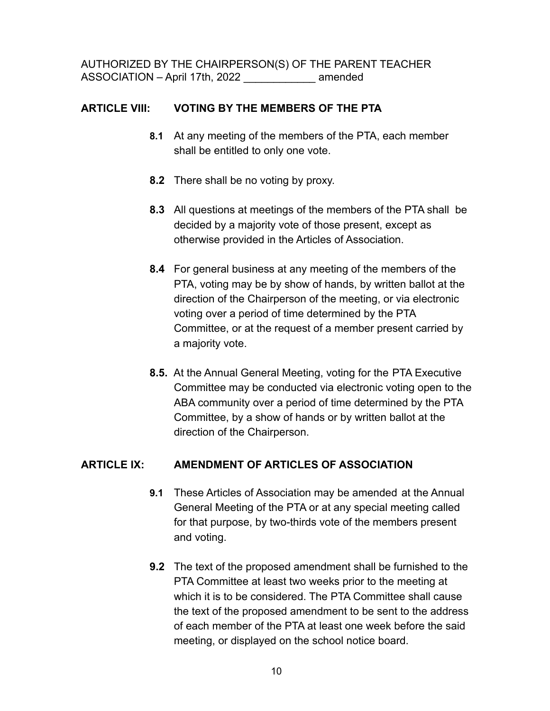### **ARTICLE VIII: VOTING BY THE MEMBERS OF THE PTA**

- **8.1** At any meeting of the members of the PTA, each member shall be entitled to only one vote.
- **8.2** There shall be no voting by proxy.
- **8.3** All questions at meetings of the members of the PTA shall be decided by a majority vote of those present, except as otherwise provided in the Articles of Association.
- **8.4** For general business at any meeting of the members of the PTA, voting may be by show of hands, by written ballot at the direction of the Chairperson of the meeting, or via electronic voting over a period of time determined by the PTA Committee, or at the request of a member present carried by a majority vote.
- **8.5.** At the Annual General Meeting, voting for the PTA Executive Committee may be conducted via electronic voting open to the ABA community over a period of time determined by the PTA Committee, by a show of hands or by written ballot at the direction of the Chairperson.

### **ARTICLE IX: AMENDMENT OF ARTICLES OF ASSOCIATION**

- **9.1** These Articles of Association may be amended at the Annual General Meeting of the PTA or at any special meeting called for that purpose, by two-thirds vote of the members present and voting.
- **9.2** The text of the proposed amendment shall be furnished to the PTA Committee at least two weeks prior to the meeting at which it is to be considered. The PTA Committee shall cause the text of the proposed amendment to be sent to the address of each member of the PTA at least one week before the said meeting, or displayed on the school notice board.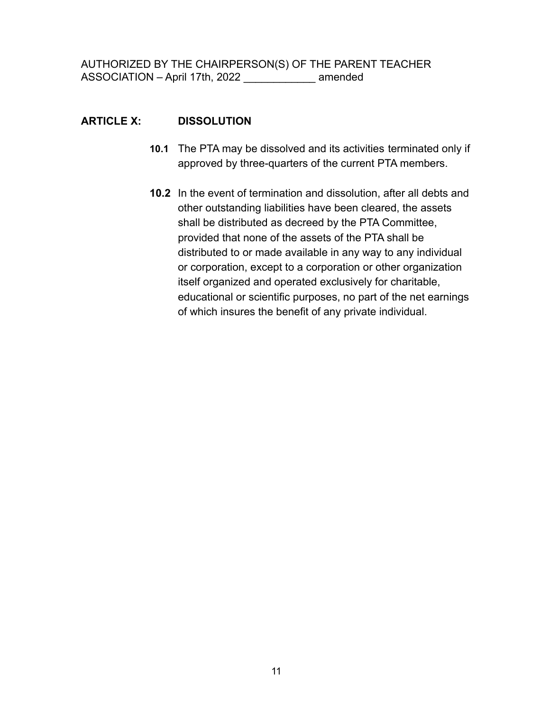### **ARTICLE X: DISSOLUTION**

- **10.1** The PTA may be dissolved and its activities terminated only if approved by three-quarters of the current PTA members.
- **10.2** In the event of termination and dissolution, after all debts and other outstanding liabilities have been cleared, the assets shall be distributed as decreed by the PTA Committee, provided that none of the assets of the PTA shall be distributed to or made available in any way to any individual or corporation, except to a corporation or other organization itself organized and operated exclusively for charitable, educational or scientific purposes, no part of the net earnings of which insures the benefit of any private individual.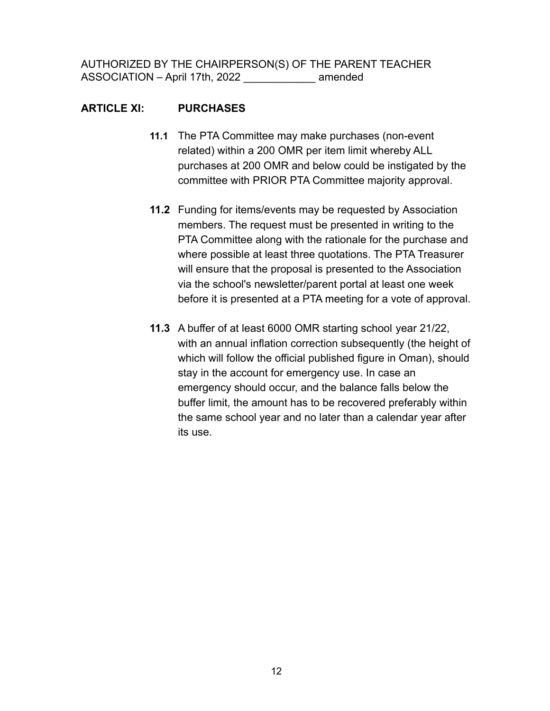### **ARTICLE XI: PURCHASES**

- **11.1** The PTA Committee may make purchases (non-event related) within a 200 OMR per item limit whereby ALL purchases at 200 OMR and below could be instigated by the committee with PRIOR PTA Committee majority approval.
- **11.2** Funding for items/events may be requested by Association members. The request must be presented in writing to the PTA Committee along with the rationale for the purchase and where possible at least three quotations. The PTA Treasurer will ensure that the proposal is presented to the Association via the school's newsletter/parent portal at least one week before it is presented at a PTA meeting for a vote of approval.
- **11.3** A buffer of at least 6000 OMR starting school year 21/22, with an annual inflation correction subsequently (the height of which will follow the official published figure in Oman), should stay in the account for emergency use. In case an emergency should occur, and the balance falls below the buffer limit, the amount has to be recovered preferably within the same school year and no later than a calendar year after its use.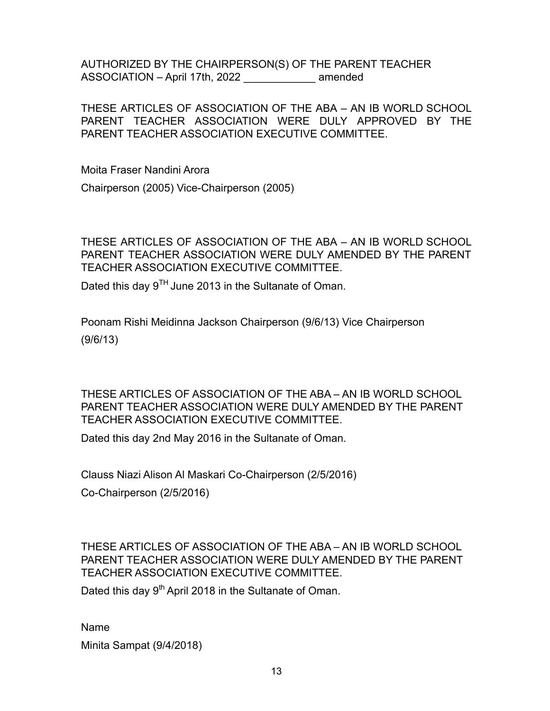THESE ARTICLES OF ASSOCIATION OF THE ABA – AN IB WORLD SCHOOL PARENT TEACHER ASSOCIATION WERE DULY APPROVED BY THE PARENT TEACHER ASSOCIATION EXECUTIVE COMMITTEE.

Moita Fraser Nandini Arora

Chairperson (2005) Vice-Chairperson (2005)

THESE ARTICLES OF ASSOCIATION OF THE ABA – AN IB WORLD SCHOOL PARENT TEACHER ASSOCIATION WERE DULY AMENDED BY THE PARENT TEACHER ASSOCIATION EXECUTIVE COMMITTEE.

Dated this day  $9^{TH}$  June 2013 in the Sultanate of Oman.

Poonam Rishi Meidinna Jackson Chairperson (9/6/13) Vice Chairperson (9/6/13)

THESE ARTICLES OF ASSOCIATION OF THE ABA – AN IB WORLD SCHOOL PARENT TEACHER ASSOCIATION WERE DULY AMENDED BY THE PARENT TEACHER ASSOCIATION EXECUTIVE COMMITTEE.

Dated this day 2nd May 2016 in the Sultanate of Oman.

Clauss Niazi Alison Al Maskari Co-Chairperson (2/5/2016)

Co-Chairperson (2/5/2016)

THESE ARTICLES OF ASSOCIATION OF THE ABA – AN IB WORLD SCHOOL PARENT TEACHER ASSOCIATION WERE DULY AMENDED BY THE PARENT TEACHER ASSOCIATION EXECUTIVE COMMITTEE.

Dated this day 9<sup>th</sup> April 2018 in the Sultanate of Oman.

Name

Minita Sampat (9/4/2018)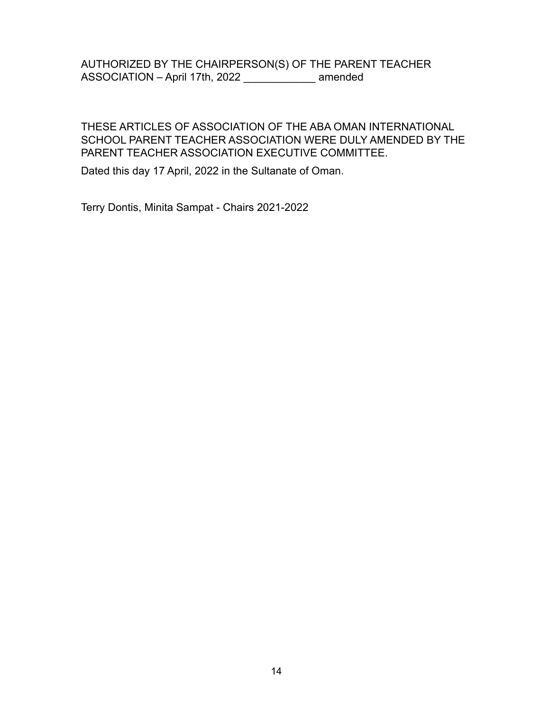#### THESE ARTICLES OF ASSOCIATION OF THE ABA OMAN INTERNATIONAL SCHOOL PARENT TEACHER ASSOCIATION WERE DULY AMENDED BY THE PARENT TEACHER ASSOCIATION EXECUTIVE COMMITTEE.

Dated this day 17 April, 2022 in the Sultanate of Oman.

Terry Dontis, Minita Sampat - Chairs 2021-2022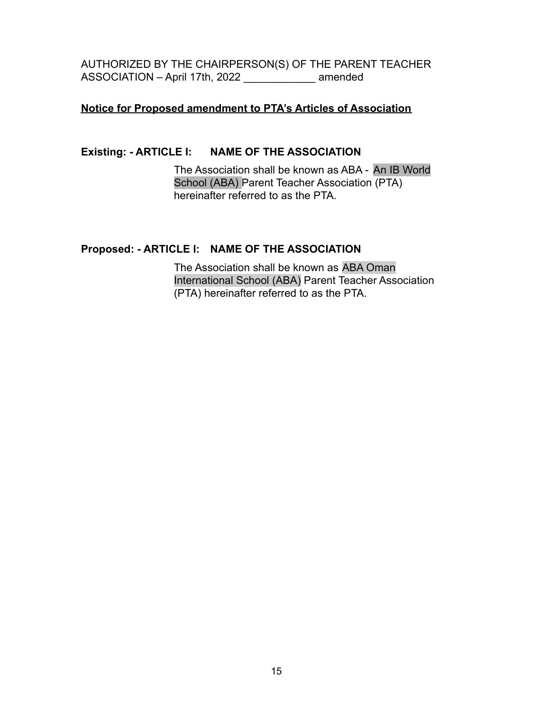#### **Notice for Proposed amendment to PTA's Articles of Association**

### **Existing: - ARTICLE I: NAME OF THE ASSOCIATION**

The Association shall be known as ABA - An IB World School (ABA) Parent Teacher Association (PTA) hereinafter referred to as the PTA.

### **Proposed: - ARTICLE I: NAME OF THE ASSOCIATION**

The Association shall be known as ABA Oman International School (ABA) Parent Teacher Association (PTA) hereinafter referred to as the PTA.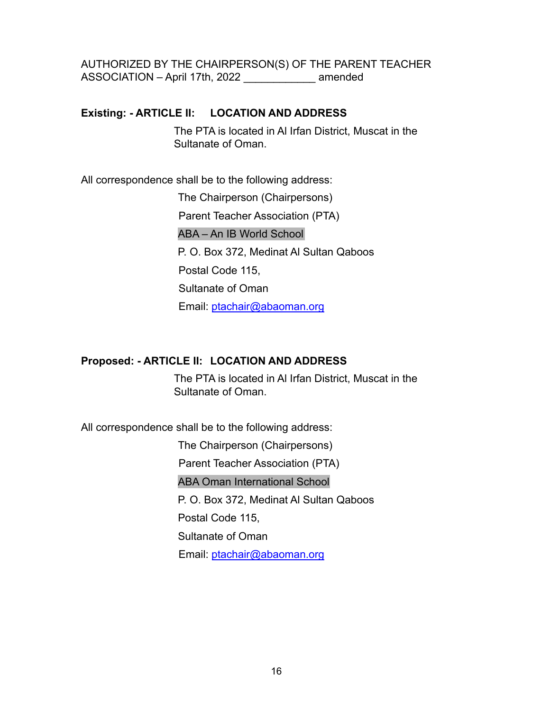### **Existing: - ARTICLE II: LOCATION AND ADDRESS**

The PTA is located in Al Irfan District, Muscat in the Sultanate of Oman.

All correspondence shall be to the following address:

The Chairperson (Chairpersons) Parent Teacher Association (PTA) ABA – An IB World School P. O. Box 372, Medinat Al Sultan Qaboos Postal Code 115, Sultanate of Oman Email: ptachair@abaoman.org

### **Proposed: - ARTICLE II: LOCATION AND ADDRESS**

The PTA is located in Al Irfan District, Muscat in the Sultanate of Oman.

All correspondence shall be to the following address:

The Chairperson (Chairpersons) Parent Teacher Association (PTA) ABA Oman International School P. O. Box 372, Medinat Al Sultan Qaboos Postal Code 115, Sultanate of Oman Email: ptachair@abaoman.org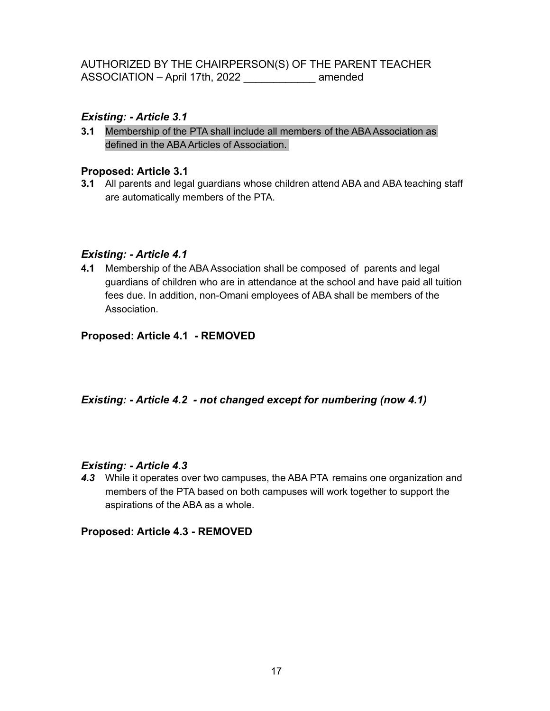### *Existing: - Article 3.1*

**3.1** Membership of the PTA shall include all members of the ABA Association as defined in the ABA Articles of Association.

#### **Proposed: Article 3.1**

**3.1** All parents and legal guardians whose children attend ABA and ABA teaching staff are automatically members of the PTA.

### *Existing: - Article 4.1*

**4.1** Membership of the ABA Association shall be composed of parents and legal guardians of children who are in attendance at the school and have paid all tuition fees due. In addition, non-Omani employees of ABA shall be members of the Association.

### **Proposed: Article 4.1 - REMOVED**

### *Existing: - Article 4.2 - not changed except for numbering (now 4.1)*

#### *Existing: - Article 4.3*

*4.3* While it operates over two campuses, the ABA PTA remains one organization and members of the PTA based on both campuses will work together to support the aspirations of the ABA as a whole.

#### **Proposed: Article 4.3 - REMOVED**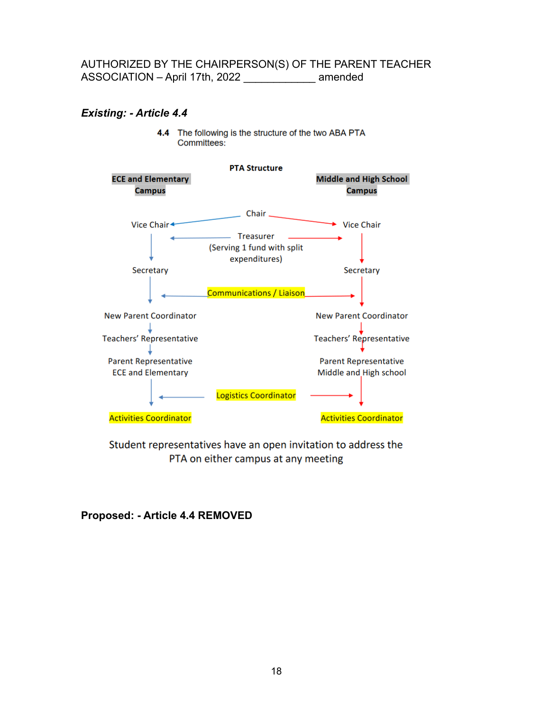#### *Existing: - Article 4.4*

4.4 The following is the structure of the two ABA PTA Committees:



Student representatives have an open invitation to address the PTA on either campus at any meeting

#### **Proposed: - Article 4.4 REMOVED**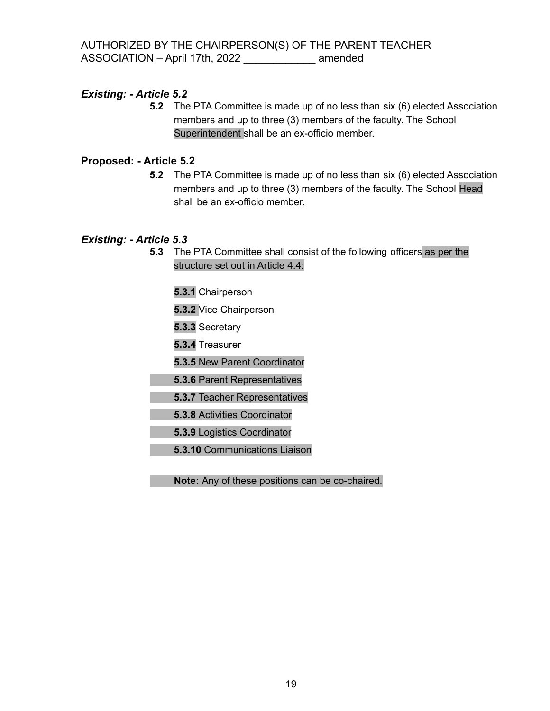**5.2** The PTA Committee is made up of no less than six (6) elected Association members and up to three (3) members of the faculty. The School Superintendent shall be an ex-officio member.

#### **Proposed: - Article 5.2**

**5.2** The PTA Committee is made up of no less than six (6) elected Association members and up to three (3) members of the faculty. The School Head shall be an ex-officio member.

#### *Existing: - Article 5.3*

**5.3** The PTA Committee shall consist of the following officers as per the structure set out in Article 4.4:

**5.3.1** Chairperson

**5.3.2** Vice Chairperson

**5.3.3** Secretary

**5.3.4** Treasurer

**5.3.5** New Parent Coordinator

**5.3.6** Parent Representatives

**5.3.7** Teacher Representatives

**5.3.8** Activities Coordinator

**5.3.9** Logistics Coordinator

**5.3.10** Communications Liaison

**Note:** Any of these positions can be co-chaired.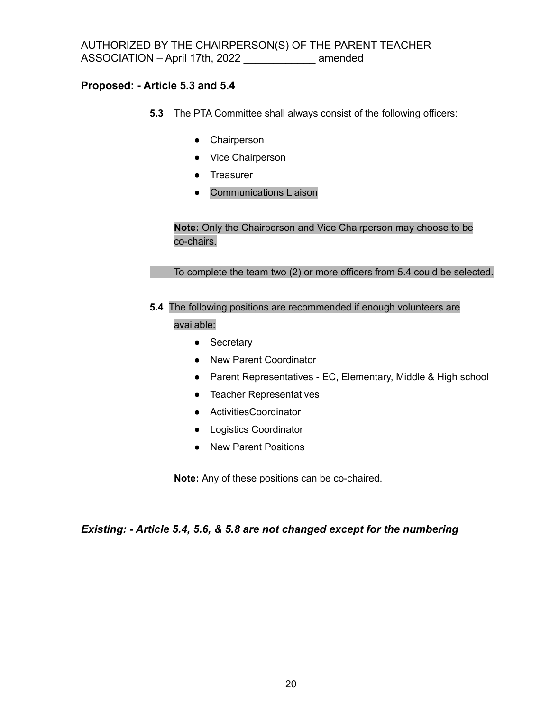#### **Proposed: - Article 5.3 and 5.4**

- **5.3** The PTA Committee shall always consist of the following officers:
	- Chairperson
	- Vice Chairperson
	- Treasurer
	- Communications Liaison

**Note:** Only the Chairperson and Vice Chairperson may choose to be co-chairs.

To complete the team two (2) or more officers from 5.4 could be selected.

**5.4** The following positions are recommended if enough volunteers are

available:

- Secretary
- New Parent Coordinator
- Parent Representatives EC, Elementary, Middle & High school
- Teacher Representatives
- ActivitiesCoordinator
- Logistics Coordinator
- New Parent Positions

**Note:** Any of these positions can be co-chaired.

*Existing: - Article 5.4, 5.6, & 5.8 are not changed except for the numbering*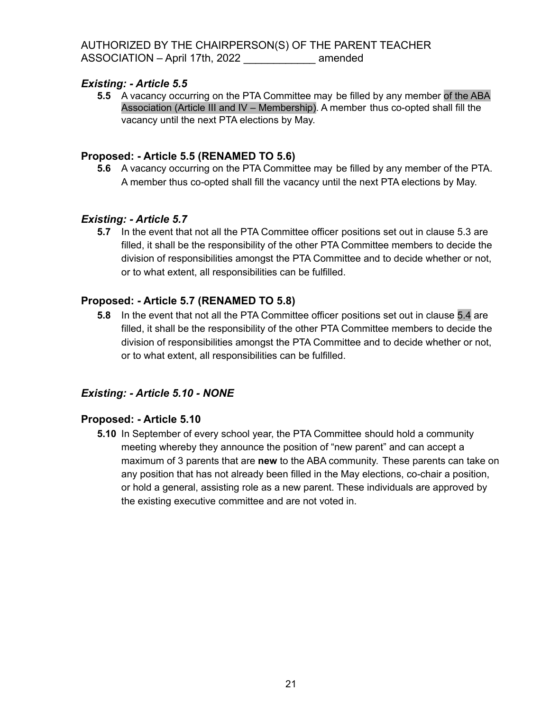**5.5** A vacancy occurring on the PTA Committee may be filled by any member of the ABA Association (Article III and IV – Membership). A member thus co-opted shall fill the vacancy until the next PTA elections by May.

### **Proposed: - Article 5.5 (RENAMED TO 5.6)**

**5.6** A vacancy occurring on the PTA Committee may be filled by any member of the PTA. A member thus co-opted shall fill the vacancy until the next PTA elections by May.

### *Existing: - Article 5.7*

**5.7** In the event that not all the PTA Committee officer positions set out in clause 5.3 are filled, it shall be the responsibility of the other PTA Committee members to decide the division of responsibilities amongst the PTA Committee and to decide whether or not, or to what extent, all responsibilities can be fulfilled.

### **Proposed: - Article 5.7 (RENAMED TO 5.8)**

**5.8** In the event that not all the PTA Committee officer positions set out in clause 5.4 are filled, it shall be the responsibility of the other PTA Committee members to decide the division of responsibilities amongst the PTA Committee and to decide whether or not, or to what extent, all responsibilities can be fulfilled.

#### *Existing: - Article 5.10 - NONE*

#### **Proposed: - Article 5.10**

**5.10** In September of every school year, the PTA Committee should hold a community meeting whereby they announce the position of "new parent" and can accept a maximum of 3 parents that are **new** to the ABA community. These parents can take on any position that has not already been filled in the May elections, co-chair a position, or hold a general, assisting role as a new parent. These individuals are approved by the existing executive committee and are not voted in.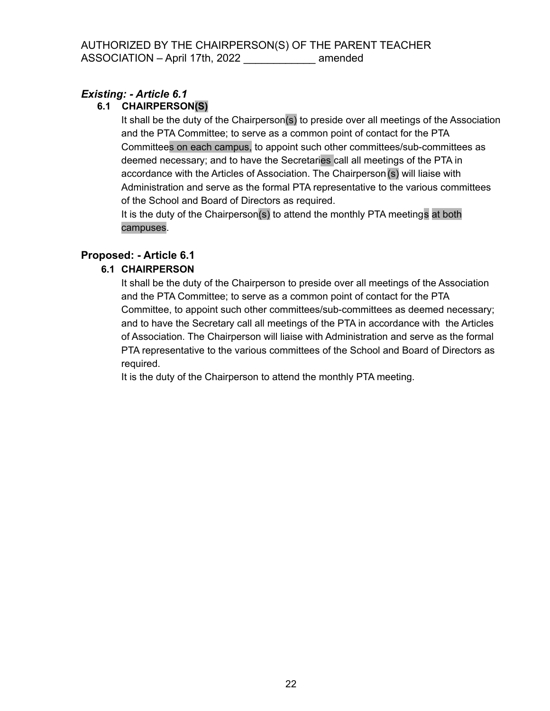### **6.1 CHAIRPERSON(S)**

It shall be the duty of the Chairperson(s) to preside over all meetings of the Association and the PTA Committee; to serve as a common point of contact for the PTA Committees on each campus, to appoint such other committees/sub-committees as deemed necessary; and to have the Secretaries call all meetings of the PTA in accordance with the Articles of Association. The Chairperson(s) will liaise with Administration and serve as the formal PTA representative to the various committees of the School and Board of Directors as required.

It is the duty of the Chairperson(s) to attend the monthly PTA meetings at both campuses.

### **Proposed: - Article 6.1**

### **6.1 CHAIRPERSON**

It shall be the duty of the Chairperson to preside over all meetings of the Association and the PTA Committee; to serve as a common point of contact for the PTA Committee, to appoint such other committees/sub-committees as deemed necessary; and to have the Secretary call all meetings of the PTA in accordance with the Articles of Association. The Chairperson will liaise with Administration and serve as the formal PTA representative to the various committees of the School and Board of Directors as required.

It is the duty of the Chairperson to attend the monthly PTA meeting.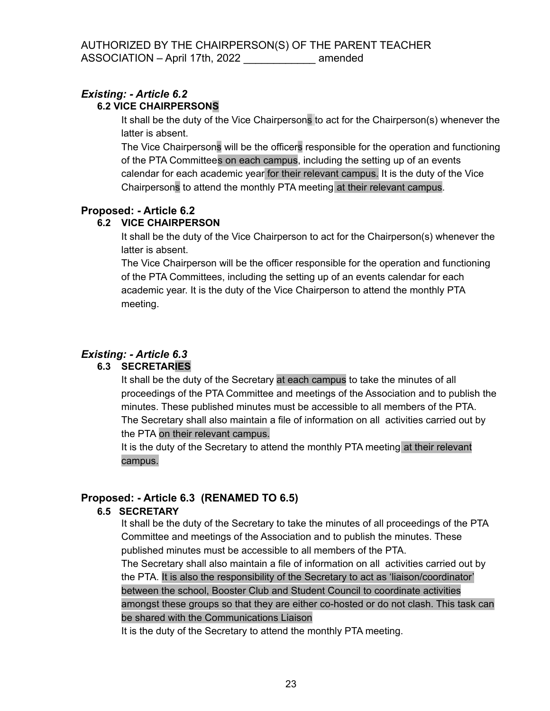### **6.2 VICE CHAIRPERSONS**

It shall be the duty of the Vice Chairpersons to act for the Chairperson(s) whenever the latter is absent.

The Vice Chairpersons will be the officers responsible for the operation and functioning of the PTA Committees on each campus, including the setting up of an events calendar for each academic year for their relevant campus. It is the duty of the Vice Chairpersons to attend the monthly PTA meeting at their relevant campus.

### **Proposed: - Article 6.2**

### **6.2 VICE CHAIRPERSON**

It shall be the duty of the Vice Chairperson to act for the Chairperson(s) whenever the latter is absent.

The Vice Chairperson will be the officer responsible for the operation and functioning of the PTA Committees, including the setting up of an events calendar for each academic year. It is the duty of the Vice Chairperson to attend the monthly PTA meeting.

## *Existing: - Article 6.3*

### **6.3 SECRETARIES**

It shall be the duty of the Secretary at each campus to take the minutes of all proceedings of the PTA Committee and meetings of the Association and to publish the minutes. These published minutes must be accessible to all members of the PTA. The Secretary shall also maintain a file of information on all activities carried out by the PTA on their relevant campus.

It is the duty of the Secretary to attend the monthly PTA meeting at their relevant campus.

### **Proposed: - Article 6.3 (RENAMED TO 6.5)**

#### **6.5 SECRETARY**

It shall be the duty of the Secretary to take the minutes of all proceedings of the PTA Committee and meetings of the Association and to publish the minutes. These published minutes must be accessible to all members of the PTA. The Secretary shall also maintain a file of information on all activities carried out by the PTA. It is also the responsibility of the Secretary to act as 'liaison/coordinator' between the school, Booster Club and Student Council to coordinate activities amongst these groups so that they are either co-hosted or do not clash. This task can be shared with the Communications Liaison

It is the duty of the Secretary to attend the monthly PTA meeting.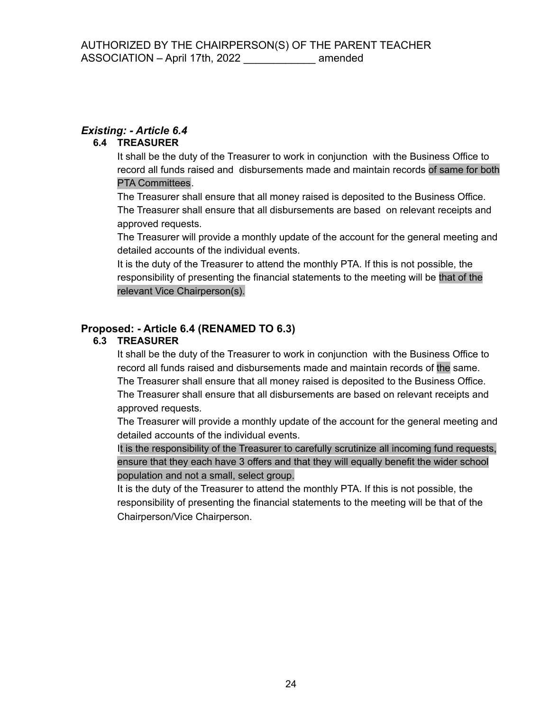#### **6.4 TREASURER**

It shall be the duty of the Treasurer to work in conjunction with the Business Office to record all funds raised and disbursements made and maintain records of same for both PTA Committees.

The Treasurer shall ensure that all money raised is deposited to the Business Office. The Treasurer shall ensure that all disbursements are based on relevant receipts and approved requests.

The Treasurer will provide a monthly update of the account for the general meeting and detailed accounts of the individual events.

It is the duty of the Treasurer to attend the monthly PTA. If this is not possible, the responsibility of presenting the financial statements to the meeting will be that of the relevant Vice Chairperson(s).

### **Proposed: - Article 6.4 (RENAMED TO 6.3)**

### **6.3 TREASURER**

It shall be the duty of the Treasurer to work in conjunction with the Business Office to record all funds raised and disbursements made and maintain records of the same. The Treasurer shall ensure that all money raised is deposited to the Business Office. The Treasurer shall ensure that all disbursements are based on relevant receipts and approved requests.

The Treasurer will provide a monthly update of the account for the general meeting and detailed accounts of the individual events.

It is the responsibility of the Treasurer to carefully scrutinize all incoming fund requests, ensure that they each have 3 offers and that they will equally benefit the wider school population and not a small, select group.

It is the duty of the Treasurer to attend the monthly PTA. If this is not possible, the responsibility of presenting the financial statements to the meeting will be that of the Chairperson/Vice Chairperson.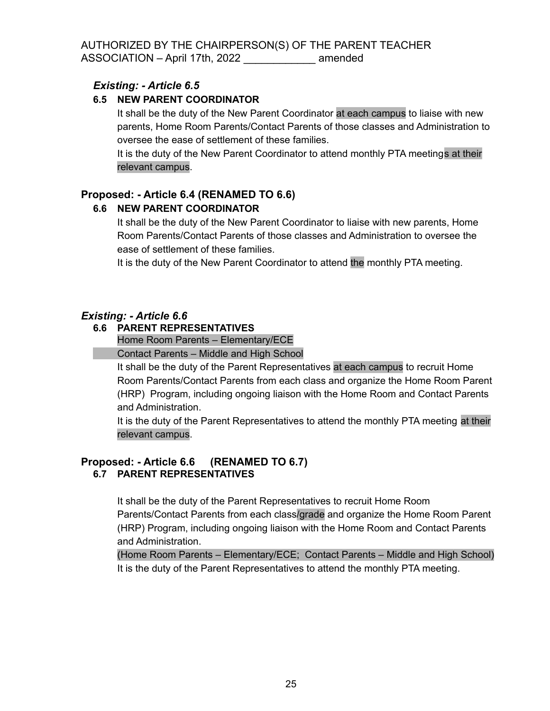#### **6.5 NEW PARENT COORDINATOR**

It shall be the duty of the New Parent Coordinator at each campus to liaise with new parents, Home Room Parents/Contact Parents of those classes and Administration to oversee the ease of settlement of these families.

It is the duty of the New Parent Coordinator to attend monthly PTA meetings at their relevant campus.

### **Proposed: - Article 6.4 (RENAMED TO 6.6)**

#### **6.6 NEW PARENT COORDINATOR**

It shall be the duty of the New Parent Coordinator to liaise with new parents, Home Room Parents/Contact Parents of those classes and Administration to oversee the ease of settlement of these families.

It is the duty of the New Parent Coordinator to attend the monthly PTA meeting.

#### *Existing: - Article 6.6*

#### **6.6 PARENT REPRESENTATIVES**

Home Room Parents – Elementary/ECE

Contact Parents – Middle and High School

It shall be the duty of the Parent Representatives at each campus to recruit Home Room Parents/Contact Parents from each class and organize the Home Room Parent (HRP) Program, including ongoing liaison with the Home Room and Contact Parents and Administration.

It is the duty of the Parent Representatives to attend the monthly PTA meeting at their relevant campus.

#### **Proposed: - Article 6.6 (RENAMED TO 6.7) 6.7 PARENT REPRESENTATIVES**

It shall be the duty of the Parent Representatives to recruit Home Room Parents/Contact Parents from each class/grade and organize the Home Room Parent (HRP) Program, including ongoing liaison with the Home Room and Contact Parents and Administration.

(Home Room Parents – Elementary/ECE; Contact Parents – Middle and High School) It is the duty of the Parent Representatives to attend the monthly PTA meeting.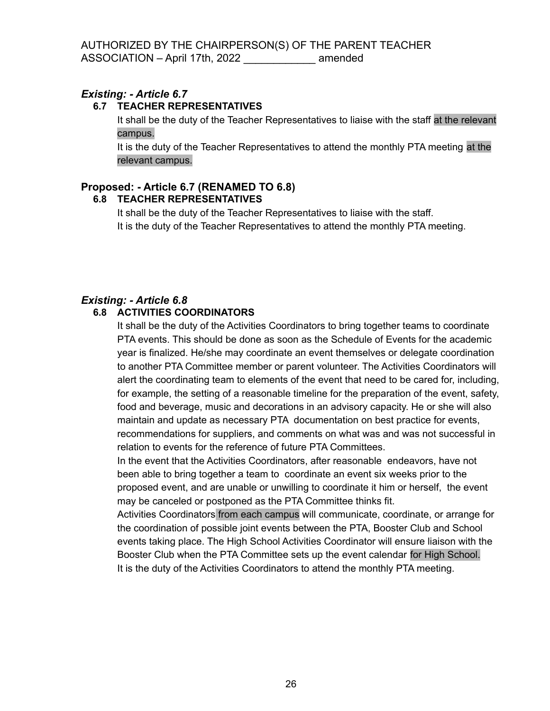#### **6.7 TEACHER REPRESENTATIVES**

It shall be the duty of the Teacher Representatives to liaise with the staff at the relevant campus.

It is the duty of the Teacher Representatives to attend the monthly PTA meeting at the relevant campus.

### **Proposed: - Article 6.7 (RENAMED TO 6.8)**

#### **6.8 TEACHER REPRESENTATIVES**

It shall be the duty of the Teacher Representatives to liaise with the staff. It is the duty of the Teacher Representatives to attend the monthly PTA meeting.

### *Existing: - Article 6.8*

#### **6.8 ACTIVITIES COORDINATORS**

It shall be the duty of the Activities Coordinators to bring together teams to coordinate PTA events. This should be done as soon as the Schedule of Events for the academic year is finalized. He/she may coordinate an event themselves or delegate coordination to another PTA Committee member or parent volunteer. The Activities Coordinators will alert the coordinating team to elements of the event that need to be cared for, including, for example, the setting of a reasonable timeline for the preparation of the event, safety, food and beverage, music and decorations in an advisory capacity. He or she will also maintain and update as necessary PTA documentation on best practice for events, recommendations for suppliers, and comments on what was and was not successful in relation to events for the reference of future PTA Committees.

In the event that the Activities Coordinators, after reasonable endeavors, have not been able to bring together a team to coordinate an event six weeks prior to the proposed event, and are unable or unwilling to coordinate it him or herself, the event may be canceled or postponed as the PTA Committee thinks fit.

Activities Coordinators from each campus will communicate, coordinate, or arrange for the coordination of possible joint events between the PTA, Booster Club and School events taking place. The High School Activities Coordinator will ensure liaison with the Booster Club when the PTA Committee sets up the event calendar for High School. It is the duty of the Activities Coordinators to attend the monthly PTA meeting.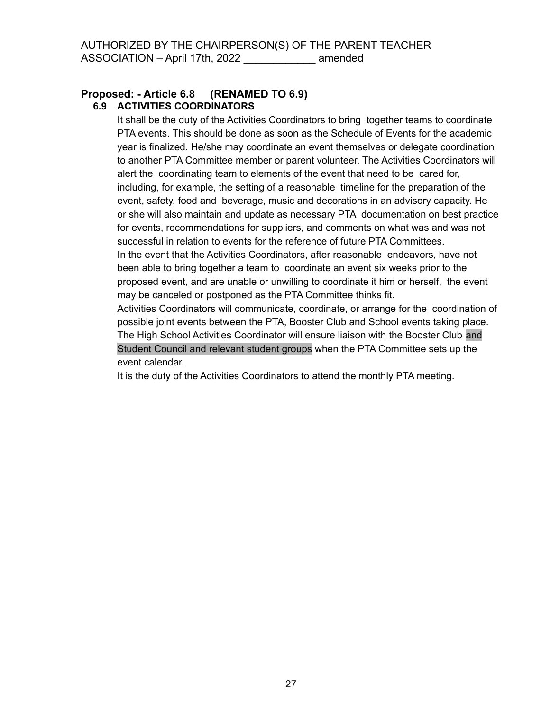#### **Proposed: - Article 6.8 (RENAMED TO 6.9) 6.9 ACTIVITIES COORDINATORS**

It shall be the duty of the Activities Coordinators to bring together teams to coordinate PTA events. This should be done as soon as the Schedule of Events for the academic year is finalized. He/she may coordinate an event themselves or delegate coordination to another PTA Committee member or parent volunteer. The Activities Coordinators will alert the coordinating team to elements of the event that need to be cared for, including, for example, the setting of a reasonable timeline for the preparation of the event, safety, food and beverage, music and decorations in an advisory capacity. He or she will also maintain and update as necessary PTA documentation on best practice for events, recommendations for suppliers, and comments on what was and was not successful in relation to events for the reference of future PTA Committees. In the event that the Activities Coordinators, after reasonable endeavors, have not been able to bring together a team to coordinate an event six weeks prior to the proposed event, and are unable or unwilling to coordinate it him or herself, the event

may be canceled or postponed as the PTA Committee thinks fit. Activities Coordinators will communicate, coordinate, or arrange for the coordination of possible joint events between the PTA, Booster Club and School events taking place. The High School Activities Coordinator will ensure liaison with the Booster Club and Student Council and relevant student groups when the PTA Committee sets up the event calendar.

It is the duty of the Activities Coordinators to attend the monthly PTA meeting.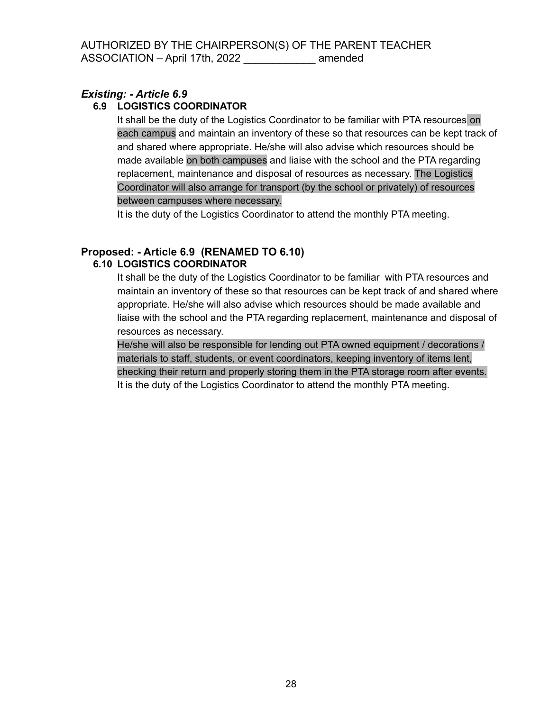#### **6.9 LOGISTICS COORDINATOR**

It shall be the duty of the Logistics Coordinator to be familiar with PTA resources on each campus and maintain an inventory of these so that resources can be kept track of and shared where appropriate. He/she will also advise which resources should be made available on both campuses and liaise with the school and the PTA regarding replacement, maintenance and disposal of resources as necessary. The Logistics Coordinator will also arrange for transport (by the school or privately) of resources between campuses where necessary.

It is the duty of the Logistics Coordinator to attend the monthly PTA meeting.

#### **Proposed: - Article 6.9 (RENAMED TO 6.10) 6.10 LOGISTICS COORDINATOR**

It shall be the duty of the Logistics Coordinator to be familiar with PTA resources and maintain an inventory of these so that resources can be kept track of and shared where appropriate. He/she will also advise which resources should be made available and liaise with the school and the PTA regarding replacement, maintenance and disposal of resources as necessary.

He/she will also be responsible for lending out PTA owned equipment / decorations / materials to staff, students, or event coordinators, keeping inventory of items lent, checking their return and properly storing them in the PTA storage room after events. It is the duty of the Logistics Coordinator to attend the monthly PTA meeting.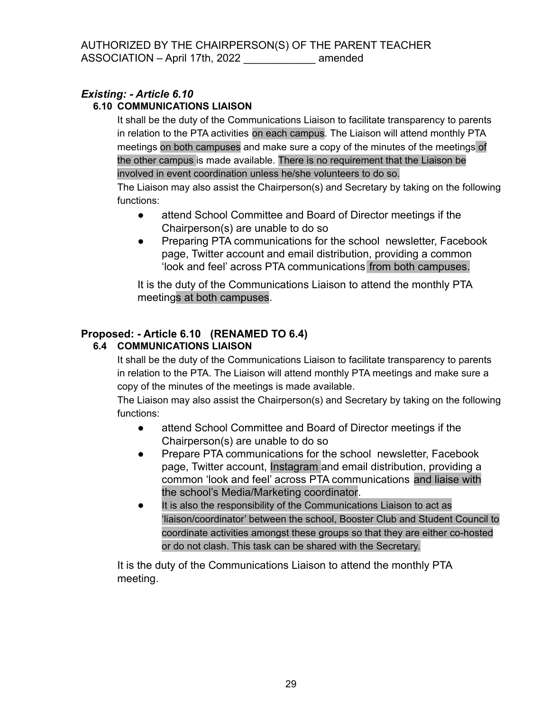### **6.10 COMMUNICATIONS LIAISON**

It shall be the duty of the Communications Liaison to facilitate transparency to parents in relation to the PTA activities on each campus. The Liaison will attend monthly PTA meetings on both campuses and make sure a copy of the minutes of the meetings of the other campus is made available. There is no requirement that the Liaison be involved in event coordination unless he/she volunteers to do so.

The Liaison may also assist the Chairperson(s) and Secretary by taking on the following functions:

- attend School Committee and Board of Director meetings if the Chairperson(s) are unable to do so
- Preparing PTA communications for the school newsletter, Facebook page, Twitter account and email distribution, providing a common 'look and feel' across PTA communications from both campuses.

It is the duty of the Communications Liaison to attend the monthly PTA meetings at both campuses.

### **Proposed: - Article 6.10 (RENAMED TO 6.4)**

### **6.4 COMMUNICATIONS LIAISON**

It shall be the duty of the Communications Liaison to facilitate transparency to parents in relation to the PTA. The Liaison will attend monthly PTA meetings and make sure a copy of the minutes of the meetings is made available.

The Liaison may also assist the Chairperson(s) and Secretary by taking on the following functions:

- attend School Committee and Board of Director meetings if the Chairperson(s) are unable to do so
- Prepare PTA communications for the school newsletter, Facebook page, Twitter account, Instagram and email distribution, providing a common 'look and feel' across PTA communications and liaise with the school's Media/Marketing coordinator.
- It is also the responsibility of the Communications Liaison to act as 'liaison/coordinator' between the school, Booster Club and Student Council to coordinate activities amongst these groups so that they are either co-hosted or do not clash. This task can be shared with the Secretary.

It is the duty of the Communications Liaison to attend the monthly PTA meeting.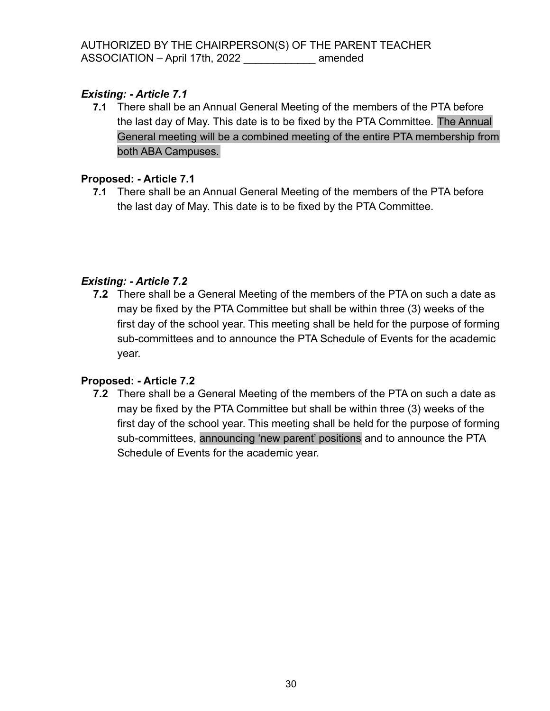**7.1** There shall be an Annual General Meeting of the members of the PTA before the last day of May. This date is to be fixed by the PTA Committee. The Annual General meeting will be a combined meeting of the entire PTA membership from both ABA Campuses.

### **Proposed: - Article 7.1**

**7.1** There shall be an Annual General Meeting of the members of the PTA before the last day of May. This date is to be fixed by the PTA Committee.

### *Existing: - Article 7.2*

**7.2** There shall be a General Meeting of the members of the PTA on such a date as may be fixed by the PTA Committee but shall be within three (3) weeks of the first day of the school year. This meeting shall be held for the purpose of forming sub-committees and to announce the PTA Schedule of Events for the academic year.

### **Proposed: - Article 7.2**

**7.2** There shall be a General Meeting of the members of the PTA on such a date as may be fixed by the PTA Committee but shall be within three (3) weeks of the first day of the school year. This meeting shall be held for the purpose of forming sub-committees, announcing 'new parent' positions and to announce the PTA Schedule of Events for the academic year.